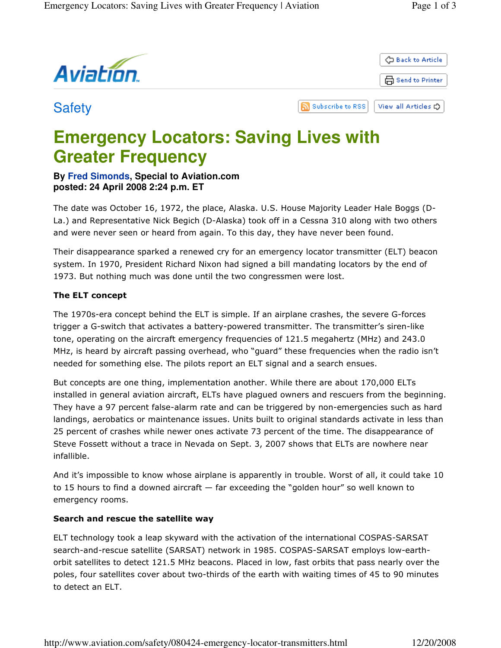

# **Emergency Locators: Saving Lives with Greater Frequency**

# **By Fred Simonds, Special to Aviation.com posted: 24 April 2008 2:24 p.m. ET**

The date was October 16, 1972, the place, Alaska. U.S. House Majority Leader Hale Boggs (D-La.) and Representative Nick Begich (D-Alaska) took off in a Cessna 310 along with two others and were never seen or heard from again. To this day, they have never been found.

Their disappearance sparked a renewed cry for an emergency locator transmitter (ELT) beacon system. In 1970, President Richard Nixon had signed a bill mandating locators by the end of 1973. But nothing much was done until the two congressmen were lost.

## The ELT concept

The 1970s-era concept behind the ELT is simple. If an airplane crashes, the severe G-forces trigger a G-switch that activates a battery-powered transmitter. The transmitter's siren-like tone, operating on the aircraft emergency frequencies of 121.5 megahertz (MHz) and 243.0 MHz, is heard by aircraft passing overhead, who "guard" these frequencies when the radio isn't needed for something else. The pilots report an ELT signal and a search ensues.

But concepts are one thing, implementation another. While there are about 170,000 ELTs installed in general aviation aircraft, ELTs have plagued owners and rescuers from the beginning. They have a 97 percent false-alarm rate and can be triggered by non-emergencies such as hard landings, aerobatics or maintenance issues. Units built to original standards activate in less than 25 percent of crashes while newer ones activate 73 percent of the time. The disappearance of Steve Fossett without a trace in Nevada on Sept. 3, 2007 shows that ELTs are nowhere near infallible.

And it's impossible to know whose airplane is apparently in trouble. Worst of all, it could take 10 to 15 hours to find a downed aircraft — far exceeding the "golden hour" so well known to emergency rooms.

## Search and rescue the satellite way

ELT technology took a leap skyward with the activation of the international COSPAS-SARSAT search-and-rescue satellite (SARSAT) network in 1985. COSPAS-SARSAT employs low-earthorbit satellites to detect 121.5 MHz beacons. Placed in low, fast orbits that pass nearly over the poles, four satellites cover about two-thirds of the earth with waiting times of 45 to 90 minutes to detect an ELT.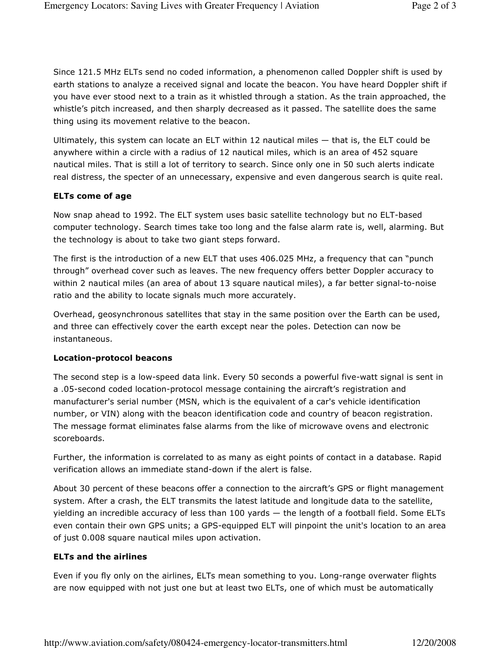Since 121.5 MHz ELTs send no coded information, a phenomenon called Doppler shift is used by earth stations to analyze a received signal and locate the beacon. You have heard Doppler shift if you have ever stood next to a train as it whistled through a station. As the train approached, the whistle's pitch increased, and then sharply decreased as it passed. The satellite does the same thing using its movement relative to the beacon.

Ultimately, this system can locate an ELT within 12 nautical miles — that is, the ELT could be anywhere within a circle with a radius of 12 nautical miles, which is an area of 452 square nautical miles. That is still a lot of territory to search. Since only one in 50 such alerts indicate real distress, the specter of an unnecessary, expensive and even dangerous search is quite real.

## ELTs come of age

Now snap ahead to 1992. The ELT system uses basic satellite technology but no ELT-based computer technology. Search times take too long and the false alarm rate is, well, alarming. But the technology is about to take two giant steps forward.

The first is the introduction of a new ELT that uses 406.025 MHz, a frequency that can "punch through" overhead cover such as leaves. The new frequency offers better Doppler accuracy to within 2 nautical miles (an area of about 13 square nautical miles), a far better signal-to-noise ratio and the ability to locate signals much more accurately.

Overhead, geosynchronous satellites that stay in the same position over the Earth can be used, and three can effectively cover the earth except near the poles. Detection can now be instantaneous.

#### Location-protocol beacons

The second step is a low-speed data link. Every 50 seconds a powerful five-watt signal is sent in a .05-second coded location-protocol message containing the aircraft's registration and manufacturer's serial number (MSN, which is the equivalent of a car's vehicle identification number, or VIN) along with the beacon identification code and country of beacon registration. The message format eliminates false alarms from the like of microwave ovens and electronic scoreboards.

Further, the information is correlated to as many as eight points of contact in a database. Rapid verification allows an immediate stand-down if the alert is false.

About 30 percent of these beacons offer a connection to the aircraft's GPS or flight management system. After a crash, the ELT transmits the latest latitude and longitude data to the satellite, yielding an incredible accuracy of less than 100 yards — the length of a football field. Some ELTs even contain their own GPS units; a GPS-equipped ELT will pinpoint the unit's location to an area of just 0.008 square nautical miles upon activation.

#### ELTs and the airlines

Even if you fly only on the airlines, ELTs mean something to you. Long-range overwater flights are now equipped with not just one but at least two ELTs, one of which must be automatically